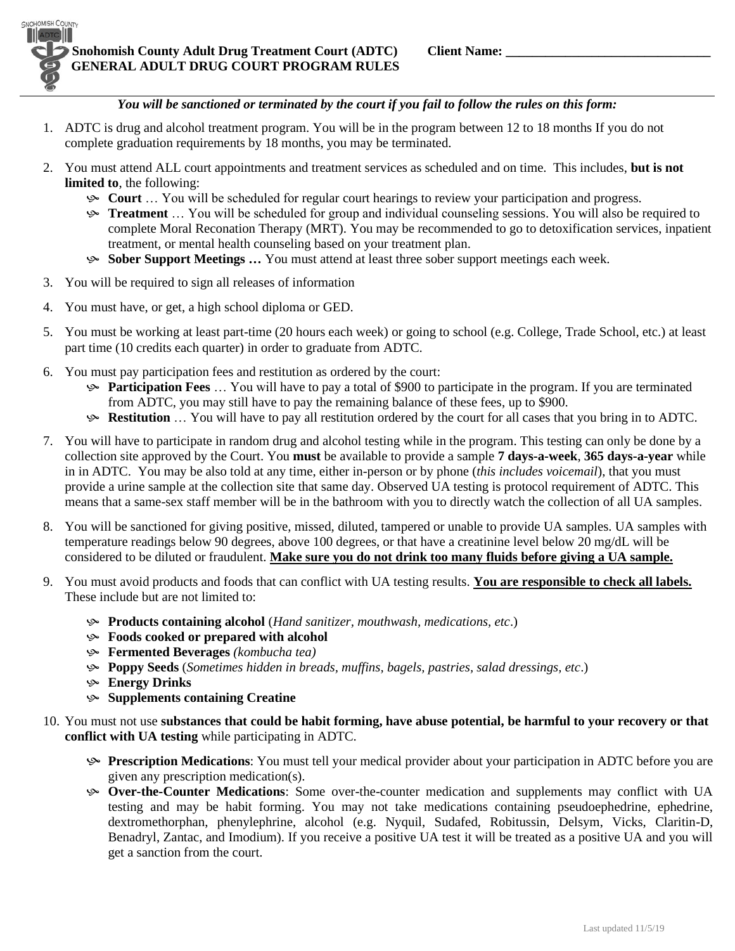**SNOHOMISH COUNTY** 

## *You will be sanctioned or terminated by the court if you fail to follow the rules on this form:*

- 1. ADTC is drug and alcohol treatment program. You will be in the program between 12 to 18 months If you do not complete graduation requirements by 18 months, you may be terminated.
- 2. You must attend ALL court appointments and treatment services as scheduled and on time. This includes, **but is not limited to**, the following:
	- **Court** … You will be scheduled for regular court hearings to review your participation and progress.
	- **Treatment** ... You will be scheduled for group and individual counseling sessions. You will also be required to complete Moral Reconation Therapy (MRT). You may be recommended to go to detoxification services, inpatient treatment, or mental health counseling based on your treatment plan.
	- **Sober Support Meetings …** You must attend at least three sober support meetings each week.
- 3. You will be required to sign all releases of information
- 4. You must have, or get, a high school diploma or GED.
- 5. You must be working at least part-time (20 hours each week) or going to school (e.g. College, Trade School, etc.) at least part time (10 credits each quarter) in order to graduate from ADTC.
- 6. You must pay participation fees and restitution as ordered by the court:
	- **Participation Fees** … You will have to pay a total of \$900 to participate in the program. If you are terminated from ADTC, you may still have to pay the remaining balance of these fees, up to \$900.
	- **Restitution** ... You will have to pay all restitution ordered by the court for all cases that you bring in to ADTC.
- 7. You will have to participate in random drug and alcohol testing while in the program. This testing can only be done by a collection site approved by the Court. You **must** be available to provide a sample **7 days-a-week**, **365 days-a-year** while in in ADTC. You may be also told at any time, either in-person or by phone (*this includes voicemail*), that you must provide a urine sample at the collection site that same day. Observed UA testing is protocol requirement of ADTC. This means that a same-sex staff member will be in the bathroom with you to directly watch the collection of all UA samples.
- 8. You will be sanctioned for giving positive, missed, diluted, tampered or unable to provide UA samples. UA samples with temperature readings below 90 degrees, above 100 degrees, or that have a creatinine level below 20 mg/dL will be considered to be diluted or fraudulent. **Make sure you do not drink too many fluids before giving a UA sample.**
- 9. You must avoid products and foods that can conflict with UA testing results. **You are responsible to check all labels.** These include but are not limited to:
	- **Products containing alcohol** (*Hand sanitizer, mouthwash, medications, etc*.)
	- **Foods cooked or prepared with alcohol**
	- **Fermented Beverages** *(kombucha tea)*
	- **Poppy Seeds** (*Sometimes hidden in breads, muffins, bagels, pastries, salad dressings, etc*.)
	- **Energy Drinks**
	- **Supplements containing Creatine**
- 10. You must not use **substances that could be habit forming, have abuse potential, be harmful to your recovery or that conflict with UA testing** while participating in ADTC.
	- **Prescription Medications**: You must tell your medical provider about your participation in ADTC before you are given any prescription medication(s).
	- **Over-the-Counter Medications**: Some over-the-counter medication and supplements may conflict with UA testing and may be habit forming. You may not take medications containing pseudoephedrine, ephedrine, dextromethorphan, phenylephrine, alcohol (e.g. Nyquil, Sudafed, Robitussin, Delsym, Vicks, Claritin-D, Benadryl, Zantac, and Imodium). If you receive a positive UA test it will be treated as a positive UA and you will get a sanction from the court.